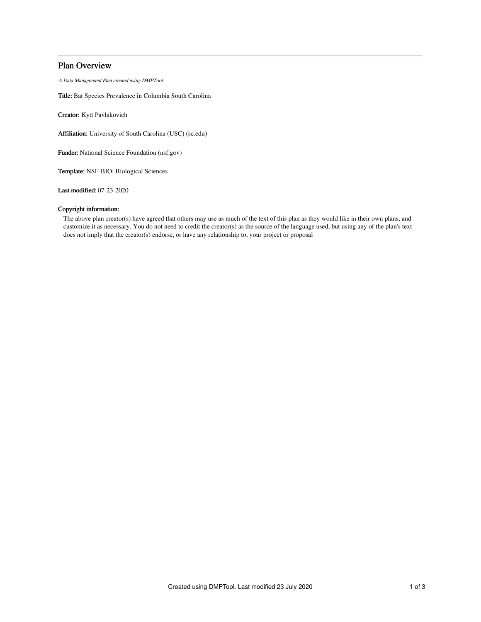# Plan Overview

A Data Management Plan created using DMPTool

Title: Bat Species Prevalence in Columbia South Carolina

Creator: Kytt Pavlakovich

Affiliation: University of South Carolina (USC) (sc.edu)

Funder: National Science Foundation (nsf.gov)

Template: NSF-BIO: Biological Sciences

Last modified: 07-23-2020

# Copyright information:

The above plan creator(s) have agreed that others may use as much of the text of this plan as they would like in their own plans, and customize it as necessary. You do not need to credit the creator(s) as the source of the language used, but using any of the plan's text does not imply that the creator(s) endorse, or have any relationship to, your project or proposal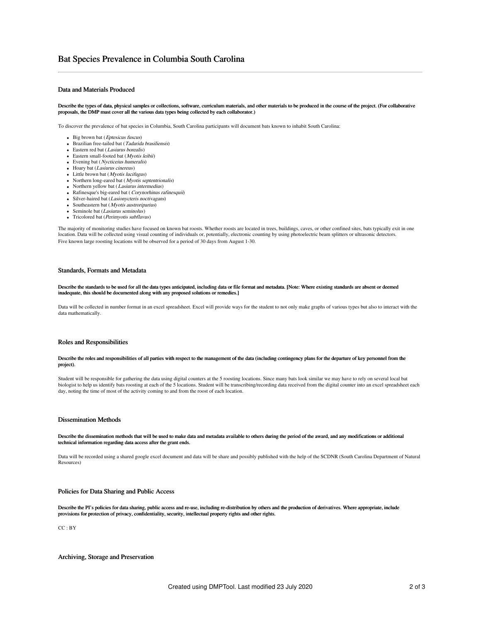# Data and Materials Produced

Describe the types of data, physical samples or collections, software, curriculum materials, and other materials to be produced in the course of the project. (For collaborative proposals, the DMP must cover all the various data types being collected by each collaborator.)

To discover the prevalence of bat species in Columbia, South Carolina participants will document bats known to inhabit South Carolina:

- $\bullet$  Big brown bat (*Eptesicus fuscus*)
- Brazilian free-tailed bat (Tadarida brasiliensis)
- Eastern red bat (Lasiurus borealis)
- Eastern small-footed bat (Myotis leibii)
- Evening bat (*Nycticeius humeralis*)
- Hoary bat (Lasiurus cinereus)
- $\bullet$  Little brown bat (*Myotis lucifugus*)
- $\bullet$  Northern long-eared bat (*Myotis septentrionalis*) • Northern yellow bat (Lasiurus intermedius)
- Rafinesque's big-eared bat (Corynorhinus rafinesquii)
- Silver-haired bat (Lasionycteris noctivagans)
- Southeastern bat (Myotis austroriparius)
- $\bullet$  Seminole bat (*Lasiurus seminolus*)
- Tricolored bat (Perimyotis subflavus)

The majority of monitoring studies have focused on known bat roosts. Whether roosts are located in trees, buildings, caves, or other confined sites, bats typically exit in one location. Data will be collected using visual counting of individuals or, potentially, electronic counting by using photoelectric beam splitters or ultrasonic detectors. Five known large roosting locations will be observed for a period of 30 days from August 1-30.

## Standards, Formats and Metadata

Describe the standards to be used for all the data types anticipated, including data or file format and metadata. [Note: Where existing standards are absent or deemed inadequate, this should be documented along with any proposed solutions or remedies.]

Data will be collected in number format in an excel spreadsheet. Excel will provide ways for the student to not only make graphs of various types but also to interact with the data mathematically.

## Roles and Responsibilities

## Describe the roles and responsibilities of all parties with respect to the management of the data (including contingency plans for the departure of key personnel from the project).

Student will be responsible for gathering the data using digital counters at the 5 roosting locations. Since many bats look similar we may have to rely on several local bat biologist to help us identify bats roosting at each of the 5 locations. Student will be transcribing/recording data received from the digital counter into an excel spreadsheet each day, noting the time of most of the activity coming to and from the roost of each location.

## Dissemination Methods

#### Describe the dissemination methods that will be used to make data and metadata available to others during the period of the award, and any modifications or additional technical information regarding data access after the grant ends.

Data will be recorded using a shared google excel document and data will be share and possibly published with the help of the SCDNR (South Carolina Department of Natural Resources)

# Policies for Data Sharing and Public Access

Describe the PI's policies for data sharing, public access and re-use, including re-distribution by others and the production of derivatives. Where appropriate, include provisions for protection of privacy, confidentiality, security, intellectual property rights and other rights.

CC : BY

Archiving, Storage and Preservation